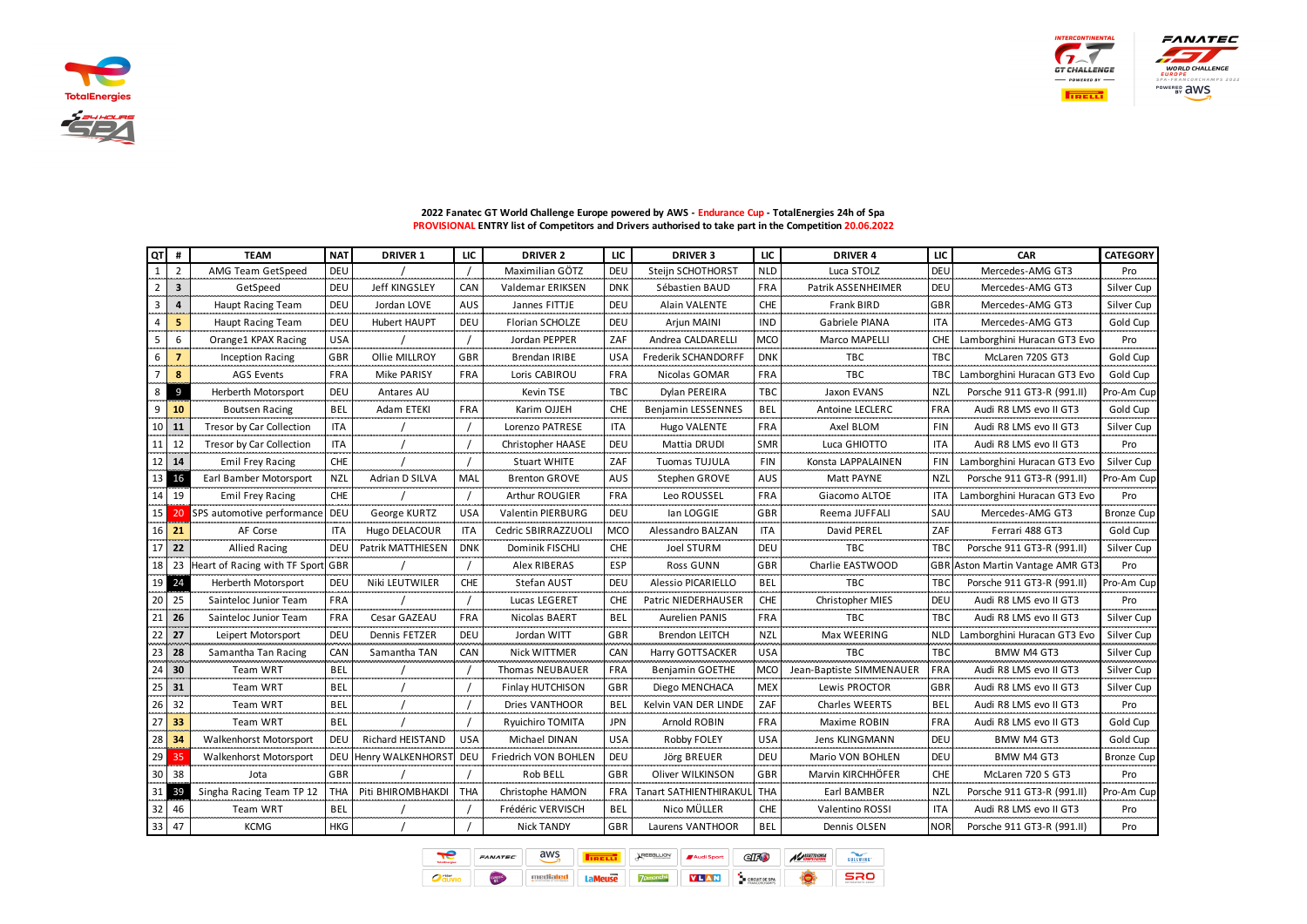





| QT | #                       | <b>TEAM</b>                   | <b>NAT</b>          | <b>DRIVER 1</b>      | LIC        | <b>DRIVER 2</b>         | LIC        | <b>DRIVER 3</b>               | LIC        | <b>DRIVER 4</b>          | LIC                         | <b>CAR</b>                   | <b>CATEGORY</b> |
|----|-------------------------|-------------------------------|---------------------|----------------------|------------|-------------------------|------------|-------------------------------|------------|--------------------------|-----------------------------|------------------------------|-----------------|
|    | $\overline{2}$          | AMG Team GetSpeed             | DEU                 |                      |            | Maximilian GÖTZ         | DEU        | Steijn SCHOTHORST             | <b>NLD</b> | Luca STOLZ               | DEU                         | Mercedes-AMG GT3             | Pro             |
|    | $\overline{\mathbf{3}}$ | GetSpeed                      | DEU                 | <b>Jeff KINGSLEY</b> | CAN        | <b>Valdemar ERIKSEN</b> | <b>DNK</b> | Sébastien BAUD                | <b>FRA</b> | Patrik ASSENHEIMER       | DEU                         | Mercedes-AMG GT3             | Silver Cup      |
|    | $\overline{a}$          | Haupt Racing Team             | DEU                 | Jordan LOVE          | <b>AUS</b> | Jannes FITTJE           | DEU        | Alain VALENTE                 | <b>CHE</b> | <b>Frank BIRD</b>        | GBR                         | Mercedes-AMG GT3             | Silver Cup      |
|    | 5                       | Haupt Racing Team             | DEU                 | <b>Hubert HAUPT</b>  | DEU        | Florian SCHOLZE         | DEU        | Arjun MAINI                   | <b>IND</b> | Gabriele PIANA           | <b>ITA</b>                  | Mercedes-AMG GT3             | Gold Cup        |
| 5  | 6                       | Orange1 KPAX Racing           | <b>USA</b><br>1.111 |                      |            | Jordan PEPPER           | ZAF        | Andrea CALDARELLI             | <b>MCO</b> | Marco MAPELLI            | CHE                         | Lamborghini Huracan GT3 Evo  | Pro             |
| 6  | 7                       | Inception Racing              | GBR                 | Ollie MILLROY        | <b>GBR</b> | Brendan IRIBE           | <b>USA</b> | <b>Frederik SCHANDORFF</b>    | <b>DNK</b> | <b>TBC</b>               | TBC                         | McLaren 720S GT3             | Gold Cup        |
|    | 8                       | <b>AGS Events</b>             | <b>FRA</b>          | Mike PARISY          | <b>FRA</b> | Loris CABIROU           | <b>FRA</b> | Nicolas GOMAR                 | <b>FRA</b> | <b>TBC</b>               | TB <sub>C</sub>             | Lamborghini Huracan GT3 Evo  | Gold Cup        |
| 8  | 9                       | Herberth Motorsport           | DEU                 | Antares AU           |            | Kevin TSE               | TBC        | Dylan PEREIRA                 | TBC        | Jaxon EVANS              | <b>NZI</b>                  | Porsche 911 GT3-R (991.II)   | Pro-Am Cup      |
| q  | 10                      | Boutsen Racing                | <b>BEL</b>          | Adam ETEKI           | <b>FRA</b> | Karim OJJEH             | CHE        | Benjamin LESSENNES            | BEL        | Antoine LECLERC          | FRA                         | Audi R8 LMS evo II GT3       | Gold Cup        |
| 10 | 11                      | Tresor by Car Collection      | <b>ITA</b>          |                      |            | Lorenzo PATRESE         | <b>ITA</b> | Hugo VALENTE                  | <b>FRA</b> | Axel BLOM                | <b>FIN</b>                  | Audi R8 LMS evo II GT3       | Silver Cup      |
| 11 | 12                      | Tresor by Car Collection      | <b>ITA</b>          |                      |            | Christopher HAASE       | DEU        | Mattia DRUDI                  | <b>SMR</b> | Luca GHIOTTO             | <b>ITA</b>                  | Audi R8 LMS evo II GT3       | Pro             |
| 12 | 14                      | <b>Emil Frey Racing</b>       | CHE                 |                      |            | <b>Stuart WHITE</b>     | ZAF        | Tuomas TUJULA                 | <b>FIN</b> | Konsta LAPPALAINEN       | <b>FIN</b>                  | Lamborghini Huracan GT3 Evo  | Silver Cup      |
| 13 | 16                      | Earl Bamber Motorsport        | <b>NZL</b><br>      | Adrian D SILVA       | MAI        | <b>Brenton GROVE</b>    | AUS        | Stephen GROVE                 | <b>AUS</b> | Matt PAYNE               | <b>NZI</b><br>$\sim$ $\sim$ | Porsche 911 GT3-R (991.II)   | Pro-Am Cup      |
| 14 | 19                      | Emil Frey Racing              | <b>CHE</b>          |                      |            | Arthur ROUGIER          | <b>FRA</b> | Leo ROUSSEL                   | <b>FRA</b> | Giacomo ALTOE            | <b>ITA</b>                  | Lamborghini Huracan GT3 Evo  | Pro             |
| 15 | 20                      | SPS automotive performance    | DEU                 | George KURTZ         | <b>USA</b> | Valentin PIERBURG       | DEU        | lan LOGGIE                    | GBR        | Reema JUFFALI            | SAU                         | Mercedes-AMG GT3             | Bronze Cup      |
| 16 | 21                      | AF Corse                      | <b>ITA</b>          | Hugo DELACOUR        | <b>ITA</b> | Cedric SBIRRAZZUOLI     | <b>MCO</b> | Alessandro BALZAN             | <b>ITA</b> | David PEREL              | ZAF                         | Ferrari 488 GT3              | Gold Cup        |
| 17 | 22                      | <b>Allied Racing</b>          | DEU                 | Patrik MATTHIESEN    | <b>DNK</b> | Dominik FISCHLI         | <b>CHE</b> | Joel STURM                    | DEU        | TBC                      | TB <sub>C</sub>             | Porsche 911 GT3-R (991.II)   | Silver Cup      |
| 18 | 23                      | Heart of Racing with TF Sport | <b>GBR</b>          |                      |            | Alex RIBERAS            | ESP        | Ross GUNN                     | <b>GBR</b> | Charlie EASTWOOD         | <b>GBR</b>                  | Aston Martin Vantage AMR GT3 | Pro             |
| 19 | 24                      | Herberth Motorsport           | DEU                 | Niki LEUTWILER       | <b>CHE</b> | Stefan AUST             | DEU        | Alessio PICARIELLO            | <b>BEL</b> | TBC                      | <b>TBC</b>                  | Porsche 911 GT3-R (991.II)   | Pro-Am Cup      |
| 20 | 25                      | Sainteloc Junior Team         | <b>FRA</b>          |                      |            | Lucas LEGERET           | <b>CHE</b> | Patric NIEDERHAUSER           | <b>CHE</b> | Christopher MIES         | DEU                         | Audi R8 LMS evo II GT3       | Pro             |
| 21 | 26<br>محمد              | Sainteloc Junior Team         | <b>FRA</b>          | Cesar GAZEAU         | <b>FRA</b> | Nicolas BAERT           | BEL        | <b>Aurelien PANIS</b>         | <b>FRA</b> | TBC.                     | <b>TBC</b>                  | Audi R8 LMS evo II GT3       | Silver Cup      |
| 22 | 27                      | Leipert Motorsport            | DEU                 | Dennis FETZER        | DEU        | Jordan WITT             | <b>GBR</b> | <b>Brendon LEITCH</b>         | <b>NZI</b> | Max WEERING              | <b>NLD</b>                  | Lamborghini Huracan GT3 Evo  | Silver Cup      |
| 23 | 28                      | Samantha Tan Racing           | CAN                 | Samantha TAN         | CAN        | Nick WITTMER            | CAN        | Harry GOTTSACKER              | <b>USA</b> | твс                      | твс                         | BMW M4 GT3                   | Silver Cup      |
| 24 | 30                      | <b>Team WRT</b>               | BEL                 |                      |            | Thomas NEUBAUER         | <b>FRA</b> | <b>Benjamin GOETHE</b>        | MCO        | Jean-Baptiste SIMMENAUER | FRA                         | Audi R8 LMS evo II GT3       | Silver Cup      |
| 25 | 31                      | Team WRT                      | BEL                 |                      |            | <b>Finlay HUTCHISON</b> | GBR        | Diego MENCHACA                | <b>MEX</b> | Lewis PROCTOR            | GBR                         | Audi R8 LMS evo II GT3       | Silver Cup      |
| 26 | 32                      | <b>Team WRT</b>               | <b>BEL</b>          |                      |            | Dries VANTHOOR          | BEL        | Kelvin VAN DER LINDE          | ZAF        | <b>Charles WEERTS</b>    | <b>BEL</b>                  | Audi R8 LMS evo II GT3       | Pro             |
| 27 | 33                      | <b>Team WRT</b>               | BEL                 |                      |            | Ryuichiro TOMITA        | JPN        | Arnold ROBIN                  | <b>FRA</b> | Maxime ROBIN             | <b>FRA</b>                  | Audi R8 LMS evo II GT3       | Gold Cup        |
| 28 | 34                      | <b>Walkenhorst Motorsport</b> | DEU                 | Richard HEISTAND     | <b>USA</b> | Michael DINAN           | <b>USA</b> | Robby FOLEY                   | <b>USA</b> | Jens KLINGMANN           | DEU                         | BMW M4 GT3                   | Gold Cup        |
| 29 | 35                      | Walkenhorst Motorsport        | DEU                 | Henry WALKENHORST    | l Deu      | Friedrich VON BOHLEN    | DEU        | Jörg BREUER                   | DEU        | Mario VON BOHLEN         | DEU                         | BMW M4 GT3                   | Bronze Cup      |
| 30 | 38                      | Jota                          | GBR                 |                      |            | Rob BELL                | GBR        | Oliver WILKINSON              | GBR        | <b>Marvin KIRCHHOFER</b> | <b>CHE</b>                  | McLaren 720 S GT3            | Pro             |
| 31 | 39                      | Singha Racing Team TP 12      | <b>THA</b>          | Piti BHIROMBHAKDI    | <b>THA</b> | Christophe HAMON        | <b>FRA</b> | <b>Tanart SATHIENTHIRAKUL</b> | <b>THA</b> | Earl BAMBER              | NZL                         | Porsche 911 GT3-R (991.II)   | Pro-Am Cup      |
| 32 | 46                      | <b>Team WRT</b>               | <b>BEL</b>          |                      |            | Frédéric VERVISCH       | BEL        | Nico MÜLLER                   | CHE        | Valentino ROSSI          | <b>ITA</b>                  | Audi R8 LMS evo II GT3       | Pro             |
| 33 | 47                      | KCMG                          | HKG                 |                      |            | <b>Nick TANDY</b>       | GBR        | Laurens VANTHOOR              | BEL        | Dennis OLSEN             | <b>NOR</b>                  | Porsche 911 GT3-R (991.II)   | Pro             |

## **2022 Fanatec GT World Challenge Europe powered by AWS - Endurance Cup - TotalEnergies 24h of Spa PROVISIONAL ENTRY list of Competitors and Drivers authorised to take part in the Competition 20.06.2022**

| TotalSnergies | <b>FANATEC</b>         | aws |               | <b><i><u>EREBBLLION</u></i></b> | <b>Audi Sport</b> | $\triangle$      | AASSETTOCORSA |  |
|---------------|------------------------|-----|---------------|---------------------------------|-------------------|------------------|---------------|--|
| rtian         | $\frac{\text{cm}}{21}$ |     | <b>County</b> |                                 |                   | <b>'T DE SPA</b> |               |  |